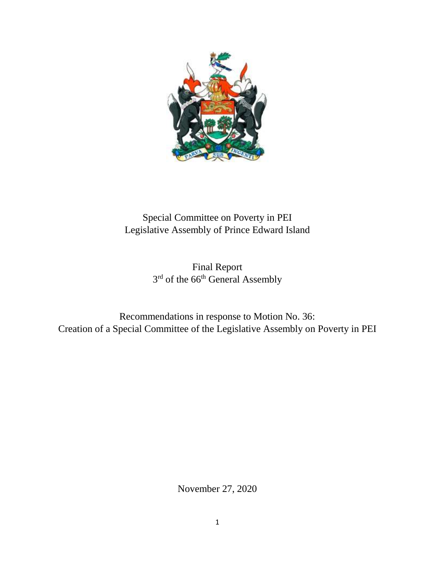

# Special Committee on Poverty in PEI Legislative Assembly of Prince Edward Island

Final Report 3<sup>rd</sup> of the 66<sup>th</sup> General Assembly

Recommendations in response to Motion No. 36: Creation of a Special Committee of the Legislative Assembly on Poverty in PEI

November 27, 2020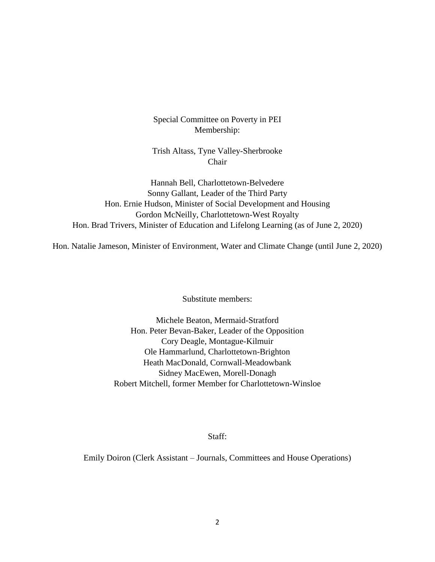Special Committee on Poverty in PEI Membership:

Trish Altass, Tyne Valley-Sherbrooke Chair

Hannah Bell, Charlottetown-Belvedere Sonny Gallant, Leader of the Third Party Hon. Ernie Hudson, Minister of Social Development and Housing Gordon McNeilly, Charlottetown-West Royalty Hon. Brad Trivers, Minister of Education and Lifelong Learning (as of June 2, 2020)

Hon. Natalie Jameson, Minister of Environment, Water and Climate Change (until June 2, 2020)

Substitute members:

Michele Beaton, Mermaid-Stratford Hon. Peter Bevan-Baker, Leader of the Opposition Cory Deagle, Montague-Kilmuir Ole Hammarlund, Charlottetown-Brighton Heath MacDonald, Cornwall-Meadowbank Sidney MacEwen, Morell-Donagh Robert Mitchell, former Member for Charlottetown-Winsloe

Staff:

Emily Doiron (Clerk Assistant – Journals, Committees and House Operations)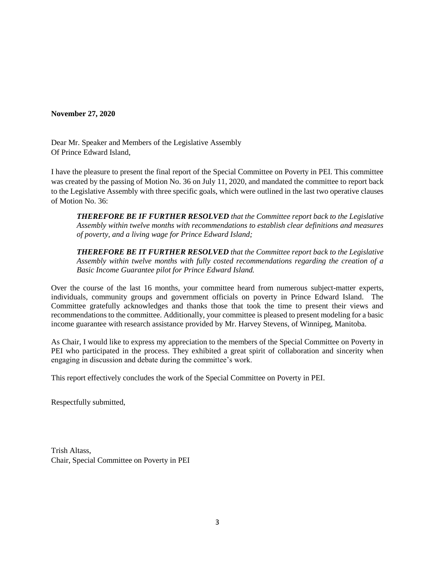**November 27, 2020**

Dear Mr. Speaker and Members of the Legislative Assembly Of Prince Edward Island,

I have the pleasure to present the final report of the Special Committee on Poverty in PEI. This committee was created by the passing of Motion No. 36 on July 11, 2020, and mandated the committee to report back to the Legislative Assembly with three specific goals, which were outlined in the last two operative clauses of Motion No. 36:

*THEREFORE BE IF FURTHER RESOLVED that the Committee report back to the Legislative Assembly within twelve months with recommendations to establish clear definitions and measures of poverty, and a living wage for Prince Edward Island;*

*THEREFORE BE IT FURTHER RESOLVED that the Committee report back to the Legislative Assembly within twelve months with fully costed recommendations regarding the creation of a Basic Income Guarantee pilot for Prince Edward Island.*

Over the course of the last 16 months, your committee heard from numerous subject-matter experts, individuals, community groups and government officials on poverty in Prince Edward Island. The Committee gratefully acknowledges and thanks those that took the time to present their views and recommendations to the committee. Additionally, your committee is pleased to present modeling for a basic income guarantee with research assistance provided by Mr. Harvey Stevens, of Winnipeg, Manitoba.

As Chair, I would like to express my appreciation to the members of the Special Committee on Poverty in PEI who participated in the process. They exhibited a great spirit of collaboration and sincerity when engaging in discussion and debate during the committee's work.

This report effectively concludes the work of the Special Committee on Poverty in PEI.

Respectfully submitted,

Trish Altass, Chair, Special Committee on Poverty in PEI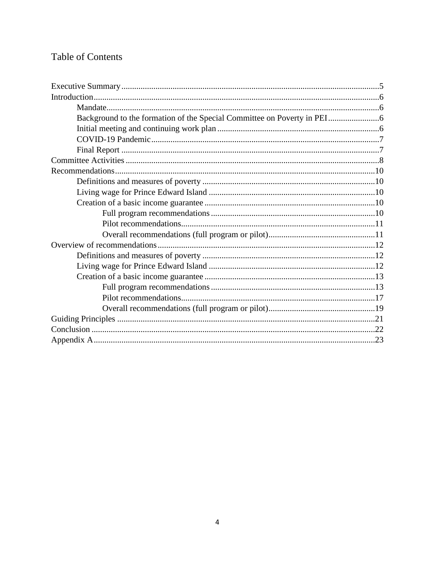# Table of Contents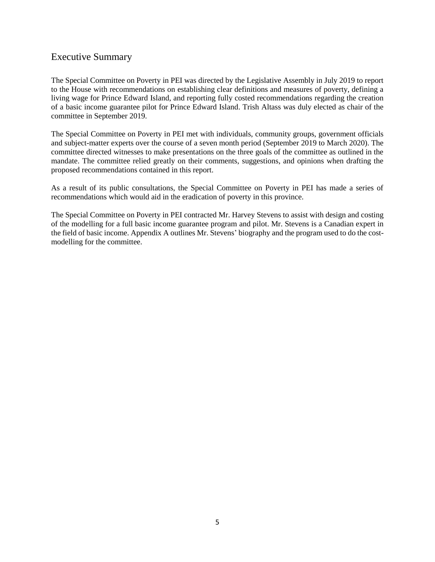# Executive Summary

The Special Committee on Poverty in PEI was directed by the Legislative Assembly in July 2019 to report to the House with recommendations on establishing clear definitions and measures of poverty, defining a living wage for Prince Edward Island, and reporting fully costed recommendations regarding the creation of a basic income guarantee pilot for Prince Edward Island. Trish Altass was duly elected as chair of the committee in September 2019.

The Special Committee on Poverty in PEI met with individuals, community groups, government officials and subject-matter experts over the course of a seven month period (September 2019 to March 2020). The committee directed witnesses to make presentations on the three goals of the committee as outlined in the mandate. The committee relied greatly on their comments, suggestions, and opinions when drafting the proposed recommendations contained in this report.

As a result of its public consultations, the Special Committee on Poverty in PEI has made a series of recommendations which would aid in the eradication of poverty in this province.

The Special Committee on Poverty in PEI contracted Mr. Harvey Stevens to assist with design and costing of the modelling for a full basic income guarantee program and pilot. Mr. Stevens is a Canadian expert in the field of basic income. Appendix A outlines Mr. Stevens' biography and the program used to do the costmodelling for the committee.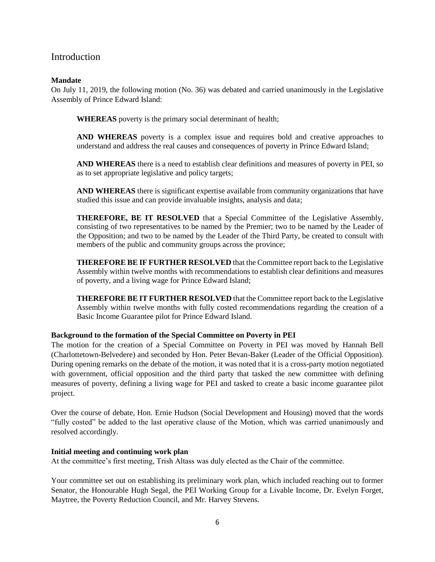# Introduction

## **Mandate**

On July 11, 2019, the following motion (No. 36) was debated and carried unanimously in the Legislative Assembly of Prince Edward Island:

**WHEREAS** poverty is the primary social determinant of health;

**AND WHEREAS** poverty is a complex issue and requires bold and creative approaches to understand and address the real causes and consequences of poverty in Prince Edward Island;

**AND WHEREAS** there is a need to establish clear definitions and measures of poverty in PEI, so as to set appropriate legislative and policy targets;

**AND WHEREAS** there is significant expertise available from community organizations that have studied this issue and can provide invaluable insights, analysis and data;

**THEREFORE, BE IT RESOLVED** that a Special Committee of the Legislative Assembly, consisting of two representatives to be named by the Premier; two to be named by the Leader of the Opposition; and two to be named by the Leader of the Third Party, be created to consult with members of the public and community groups across the province;

**THEREFORE BE IF FURTHER RESOLVED** that the Committee report back to the Legislative Assembly within twelve months with recommendations to establish clear definitions and measures of poverty, and a living wage for Prince Edward Island;

**THEREFORE BE IT FURTHER RESOLVED** that the Committee report back to the Legislative Assembly within twelve months with fully costed recommendations regarding the creation of a Basic Income Guarantee pilot for Prince Edward Island.

#### **Background to the formation of the Special Committee on Poverty in PEI**

The motion for the creation of a Special Committee on Poverty in PEI was moved by Hannah Bell (Charlottetown-Belvedere) and seconded by Hon. Peter Bevan-Baker (Leader of the Official Opposition). During opening remarks on the debate of the motion, it was noted that it is a cross-party motion negotiated with government, official opposition and the third party that tasked the new committee with defining measures of poverty, defining a living wage for PEI and tasked to create a basic income guarantee pilot project.

Over the course of debate, Hon. Ernie Hudson (Social Development and Housing) moved that the words "fully costed" be added to the last operative clause of the Motion, which was carried unanimously and resolved accordingly.

#### **Initial meeting and continuing work plan**

At the committee's first meeting, Trish Altass was duly elected as the Chair of the committee.

Your committee set out on establishing its preliminary work plan, which included reaching out to former Senator, the Honourable Hugh Segal, the PEI Working Group for a Livable Income, Dr. Evelyn Forget, Maytree, the Poverty Reduction Council, and Mr. Harvey Stevens.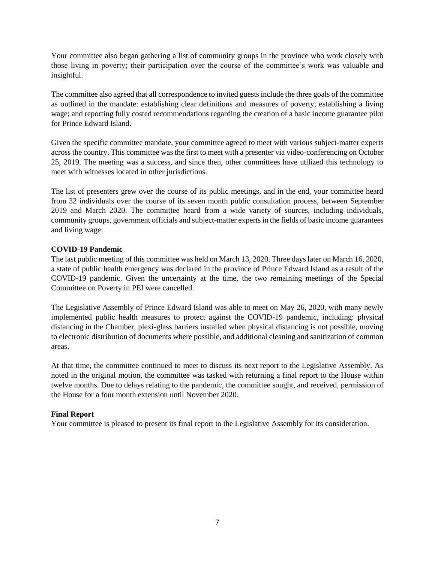Your committee also began gathering a list of community groups in the province who work closely with those living in poverty; their participation over the course of the committee's work was valuable and insightful.

The committee also agreed that all correspondence to invited guests include the three goals of the committee as outlined in the mandate: establishing clear definitions and measures of poverty; establishing a living wage; and reporting fully costed recommendations regarding the creation of a basic income guarantee pilot for Prince Edward Island.

Given the specific committee mandate, your committee agreed to meet with various subject-matter experts across the country. This committee was the first to meet with a presenter via video-conferencing on October 25, 2019. The meeting was a success, and since then, other committees have utilized this technology to meet with witnesses located in other jurisdictions.

The list of presenters grew over the course of its public meetings, and in the end, your committee heard from 32 individuals over the course of its seven month public consultation process, between September 2019 and March 2020. The committee heard from a wide variety of sources, including individuals, community groups, government officials and subject-matter experts in the fields of basic income guarantees and living wage.

## **COVID-19 Pandemic**

The last public meeting of this committee was held on March 13, 2020. Three days later on March 16, 2020, a state of public health emergency was declared in the province of Prince Edward Island as a result of the COVID-19 pandemic. Given the uncertainty at the time, the two remaining meetings of the Special Committee on Poverty in PEI were cancelled.

The Legislative Assembly of Prince Edward Island was able to meet on May 26, 2020, with many newly implemented public health measures to protect against the COVID-19 pandemic, including: physical distancing in the Chamber, plexi-glass barriers installed when physical distancing is not possible, moving to electronic distribution of documents where possible, and additional cleaning and sanitization of common areas.

At that time, the committee continued to meet to discuss its next report to the Legislative Assembly. As noted in the original motion, the committee was tasked with returning a final report to the House within twelve months. Due to delays relating to the pandemic, the committee sought, and received, permission of the House for a four month extension until November 2020.

# **Final Report**

Your committee is pleased to present its final report to the Legislative Assembly for its consideration.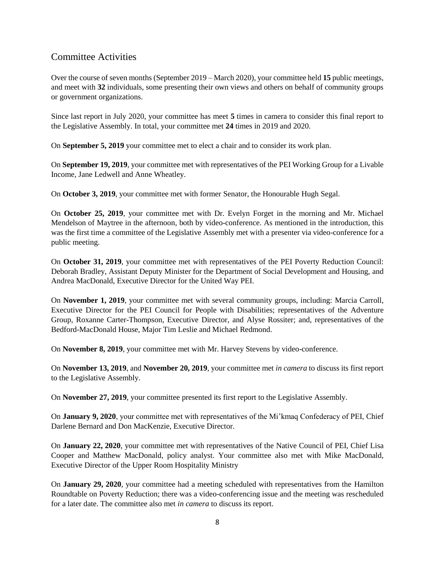# Committee Activities

Over the course of seven months (September 2019 – March 2020), your committee held **15** public meetings, and meet with **32** individuals, some presenting their own views and others on behalf of community groups or government organizations.

Since last report in July 2020, your committee has meet **5** times in camera to consider this final report to the Legislative Assembly. In total, your committee met **24** times in 2019 and 2020.

On **September 5, 2019** your committee met to elect a chair and to consider its work plan.

On **September 19, 2019**, your committee met with representatives of the PEI Working Group for a Livable Income, Jane Ledwell and Anne Wheatley.

On **October 3, 2019**, your committee met with former Senator, the Honourable Hugh Segal.

On **October 25, 2019**, your committee met with Dr. Evelyn Forget in the morning and Mr. Michael Mendelson of Maytree in the afternoon, both by video-conference. As mentioned in the introduction, this was the first time a committee of the Legislative Assembly met with a presenter via video-conference for a public meeting.

On **October 31, 2019**, your committee met with representatives of the PEI Poverty Reduction Council: Deborah Bradley, Assistant Deputy Minister for the Department of Social Development and Housing, and Andrea MacDonald, Executive Director for the United Way PEI.

On **November 1, 2019**, your committee met with several community groups, including: Marcia Carroll, Executive Director for the PEI Council for People with Disabilities; representatives of the Adventure Group, Roxanne Carter-Thompson, Executive Director, and Alyse Rossiter; and, representatives of the Bedford-MacDonald House, Major Tim Leslie and Michael Redmond.

On **November 8, 2019**, your committee met with Mr. Harvey Stevens by video-conference.

On **November 13, 2019**, and **November 20, 2019**, your committee met *in camera* to discuss its first report to the Legislative Assembly.

On **November 27, 2019**, your committee presented its first report to the Legislative Assembly.

On **January 9, 2020**, your committee met with representatives of the Mi'kmaq Confederacy of PEI, Chief Darlene Bernard and Don MacKenzie, Executive Director.

On **January 22, 2020**, your committee met with representatives of the Native Council of PEI, Chief Lisa Cooper and Matthew MacDonald, policy analyst. Your committee also met with Mike MacDonald, Executive Director of the Upper Room Hospitality Ministry

On **January 29, 2020**, your committee had a meeting scheduled with representatives from the Hamilton Roundtable on Poverty Reduction; there was a video-conferencing issue and the meeting was rescheduled for a later date. The committee also met *in camera* to discuss its report.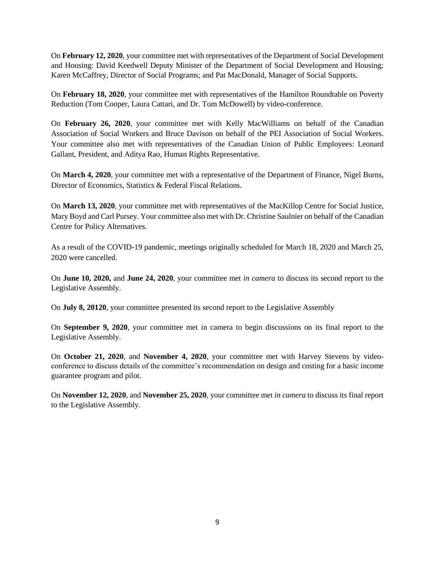On **February 12, 2020**, your committee met with representatives of the Department of Social Development and Housing: David Keedwell Deputy Minister of the Department of Social Development and Housing; Karen McCaffrey, Director of Social Programs; and Pat MacDonald, Manager of Social Supports.

On **February 18, 2020**, your committee met with representatives of the Hamilton Roundtable on Poverty Reduction (Tom Cooper, Laura Cattari, and Dr. Tom McDowell) by video-conference.

On **February 26, 2020**, your committee met with Kelly MacWilliams on behalf of the Canadian Association of Social Workers and Bruce Davison on behalf of the PEI Association of Social Workers. Your committee also met with representatives of the Canadian Union of Public Employees: Leonard Gallant, President, and Aditya Rao, Human Rights Representative.

On **March 4, 2020**, your committee met with a representative of the Department of Finance, Nigel Burns, Director of Economics, Statistics & Federal Fiscal Relations.

On **March 13, 2020**, your committee met with representatives of the MacKillop Centre for Social Justice, Mary Boyd and Carl Pursey. Your committee also met with Dr. Christine Saulnier on behalf of the Canadian Centre for Policy Alternatives.

As a result of the COVID-19 pandemic, meetings originally scheduled for March 18, 2020 and March 25, 2020 were cancelled.

On **June 10, 2020,** and **June 24, 2020**, your committee met *in camera* to discuss its second report to the Legislative Assembly.

On **July 8, 20120**, your committee presented its second report to the Legislative Assembly

On **September 9, 2020**, your committee met in camera to begin discussions on its final report to the Legislative Assembly.

On **October 21, 2020**, and **November 4, 2020**, your committee met with Harvey Stevens by videoconference to discuss details of the committee's recommendation on design and costing for a basic income guarantee program and pilot.

On **November 12, 2020**, and **November 25, 2020**, your committee met *in camera* to discuss its final report to the Legislative Assembly.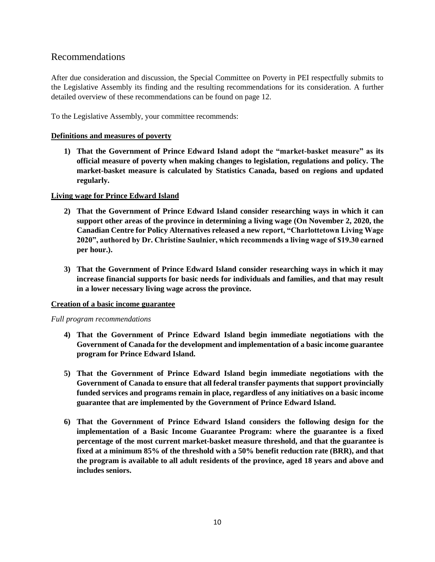# Recommendations

After due consideration and discussion, the Special Committee on Poverty in PEI respectfully submits to the Legislative Assembly its finding and the resulting recommendations for its consideration. A further detailed overview of these recommendations can be found on page 12.

To the Legislative Assembly, your committee recommends:

### **Definitions and measures of poverty**

**1) That the Government of Prince Edward Island adopt the "market-basket measure" as its official measure of poverty when making changes to legislation, regulations and policy. The market-basket measure is calculated by Statistics Canada, based on regions and updated regularly.**

## **Living wage for Prince Edward Island**

- **2) That the Government of Prince Edward Island consider researching ways in which it can support other areas of the province in determining a living wage (On November 2, 2020, the Canadian Centre for Policy Alternatives released a new report, "Charlottetown Living Wage 2020", authored by Dr. Christine Saulnier, which recommends a living wage of \$19.30 earned per hour.).**
- **3) That the Government of Prince Edward Island consider researching ways in which it may increase financial supports for basic needs for individuals and families, and that may result in a lower necessary living wage across the province.**

#### **Creation of a basic income guarantee**

*Full program recommendations*

- **4) That the Government of Prince Edward Island begin immediate negotiations with the Government of Canada for the development and implementation of a basic income guarantee program for Prince Edward Island.**
- **5) That the Government of Prince Edward Island begin immediate negotiations with the Government of Canada to ensure that all federal transfer payments that support provincially funded services and programs remain in place, regardless of any initiatives on a basic income guarantee that are implemented by the Government of Prince Edward Island.**
- **6) That the Government of Prince Edward Island considers the following design for the implementation of a Basic Income Guarantee Program: where the guarantee is a fixed percentage of the most current market-basket measure threshold, and that the guarantee is fixed at a minimum 85% of the threshold with a 50% benefit reduction rate (BRR), and that the program is available to all adult residents of the province, aged 18 years and above and includes seniors.**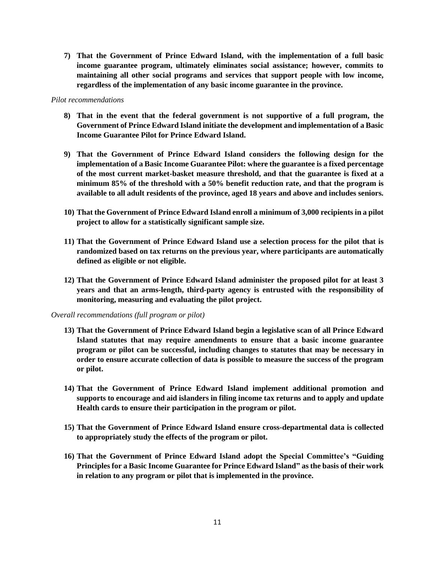**7) That the Government of Prince Edward Island, with the implementation of a full basic income guarantee program, ultimately eliminates social assistance; however, commits to maintaining all other social programs and services that support people with low income, regardless of the implementation of any basic income guarantee in the province.** 

#### *Pilot recommendations*

- **8) That in the event that the federal government is not supportive of a full program, the Government of Prince Edward Island initiate the development and implementation of a Basic Income Guarantee Pilot for Prince Edward Island.**
- **9) That the Government of Prince Edward Island considers the following design for the implementation of a Basic Income Guarantee Pilot: where the guarantee is a fixed percentage of the most current market-basket measure threshold, and that the guarantee is fixed at a minimum 85% of the threshold with a 50% benefit reduction rate, and that the program is available to all adult residents of the province, aged 18 years and above and includes seniors.**
- **10) That the Government of Prince Edward Island enroll a minimum of 3,000 recipients in a pilot project to allow for a statistically significant sample size.**
- **11) That the Government of Prince Edward Island use a selection process for the pilot that is randomized based on tax returns on the previous year, where participants are automatically defined as eligible or not eligible.**
- **12) That the Government of Prince Edward Island administer the proposed pilot for at least 3 years and that an arms-length, third-party agency is entrusted with the responsibility of monitoring, measuring and evaluating the pilot project.**

#### *Overall recommendations (full program or pilot)*

- **13) That the Government of Prince Edward Island begin a legislative scan of all Prince Edward Island statutes that may require amendments to ensure that a basic income guarantee program or pilot can be successful, including changes to statutes that may be necessary in order to ensure accurate collection of data is possible to measure the success of the program or pilot.**
- **14) That the Government of Prince Edward Island implement additional promotion and supports to encourage and aid islanders in filing income tax returns and to apply and update Health cards to ensure their participation in the program or pilot.**
- **15) That the Government of Prince Edward Island ensure cross-departmental data is collected to appropriately study the effects of the program or pilot.**
- **16) That the Government of Prince Edward Island adopt the Special Committee's "Guiding Principles for a Basic Income Guarantee for Prince Edward Island" as the basis of their work in relation to any program or pilot that is implemented in the province.**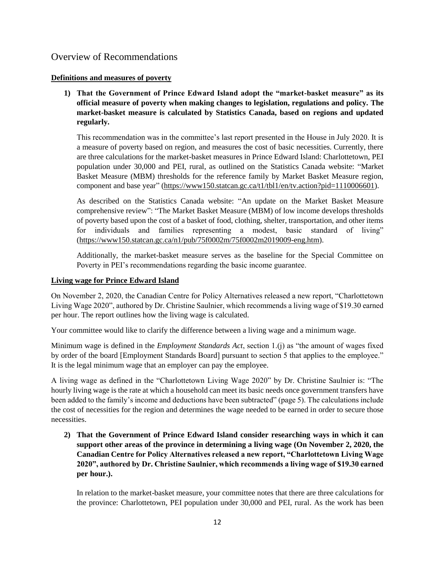# Overview of Recommendations

## **Definitions and measures of poverty**

**1) That the Government of Prince Edward Island adopt the "market-basket measure" as its official measure of poverty when making changes to legislation, regulations and policy. The market-basket measure is calculated by Statistics Canada, based on regions and updated regularly.**

This recommendation was in the committee's last report presented in the House in July 2020. It is a measure of poverty based on region, and measures the cost of basic necessities. Currently, there are three calculations for the market-basket measures in Prince Edward Island: Charlottetown, PEI population under 30,000 and PEI, rural, as outlined on the Statistics Canada website: "Market Basket Measure (MBM) thresholds for the reference family by Market Basket Measure region, component and base year" [\(https://www150.statcan.gc.ca/t1/tbl1/en/tv.action?pid=1110006601\)](https://www150.statcan.gc.ca/t1/tbl1/en/tv.action?pid=1110006601).

As described on the Statistics Canada website: "An update on the Market Basket Measure comprehensive review": "The Market Basket Measure (MBM) of low income develops thresholds of poverty based upon the cost of a basket of food, clothing, shelter, transportation, and other items for individuals and families representing a modest, basic standard of living" (https://www150.statcan.gc.ca/n1/pub/75f0002m/75f0002m2019009-eng.htm).

Additionally, the market-basket measure serves as the baseline for the Special Committee on Poverty in PEI's recommendations regarding the basic income guarantee.

## **Living wage for Prince Edward Island**

On November 2, 2020, the Canadian Centre for Policy Alternatives released a new report, "Charlottetown Living Wage 2020", authored by Dr. Christine Saulnier, which recommends a living wage of \$19.30 earned per hour. The report outlines how the living wage is calculated.

Your committee would like to clarify the difference between a living wage and a minimum wage.

Minimum wage is defined in the *Employment Standards Act*, section 1.(j) as "the amount of wages fixed by order of the board [Employment Standards Board] pursuant to section 5 that applies to the employee." It is the legal minimum wage that an employer can pay the employee.

A living wage as defined in the "Charlottetown Living Wage 2020" by Dr. Christine Saulnier is: "The hourly living wage is the rate at which a household can meet its basic needs once government transfers have been added to the family's income and deductions have been subtracted" (page 5). The calculations include the cost of necessities for the region and determines the wage needed to be earned in order to secure those necessities.

**2) That the Government of Prince Edward Island consider researching ways in which it can support other areas of the province in determining a living wage (On November 2, 2020, the Canadian Centre for Policy Alternatives released a new report, "Charlottetown Living Wage 2020", authored by Dr. Christine Saulnier, which recommends a living wage of \$19.30 earned per hour.).**

In relation to the market-basket measure, your committee notes that there are three calculations for the province: Charlottetown, PEI population under 30,000 and PEI, rural. As the work has been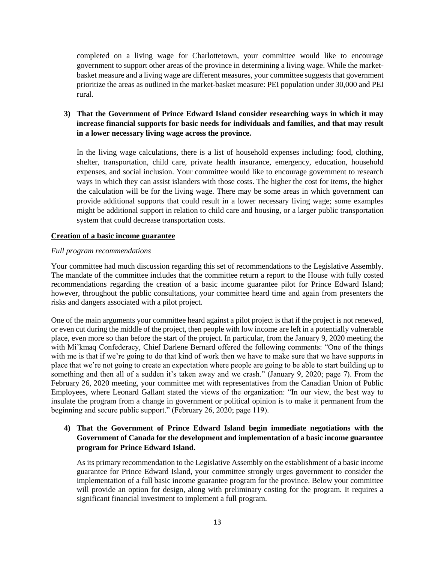completed on a living wage for Charlottetown, your committee would like to encourage government to support other areas of the province in determining a living wage. While the marketbasket measure and a living wage are different measures, your committee suggests that government prioritize the areas as outlined in the market-basket measure: PEI population under 30,000 and PEI rural.

# **3) That the Government of Prince Edward Island consider researching ways in which it may increase financial supports for basic needs for individuals and families, and that may result in a lower necessary living wage across the province.**

In the living wage calculations, there is a list of household expenses including: food, clothing, shelter, transportation, child care, private health insurance, emergency, education, household expenses, and social inclusion. Your committee would like to encourage government to research ways in which they can assist islanders with those costs. The higher the cost for items, the higher the calculation will be for the living wage. There may be some areas in which government can provide additional supports that could result in a lower necessary living wage; some examples might be additional support in relation to child care and housing, or a larger public transportation system that could decrease transportation costs.

#### **Creation of a basic income guarantee**

#### *Full program recommendations*

Your committee had much discussion regarding this set of recommendations to the Legislative Assembly. The mandate of the committee includes that the committee return a report to the House with fully costed recommendations regarding the creation of a basic income guarantee pilot for Prince Edward Island; however, throughout the public consultations, your committee heard time and again from presenters the risks and dangers associated with a pilot project.

One of the main arguments your committee heard against a pilot project is that if the project is not renewed, or even cut during the middle of the project, then people with low income are left in a potentially vulnerable place, even more so than before the start of the project. In particular, from the January 9, 2020 meeting the with Mi'kmaq Confederacy, Chief Darlene Bernard offered the following comments: "One of the things with me is that if we're going to do that kind of work then we have to make sure that we have supports in place that we're not going to create an expectation where people are going to be able to start building up to something and then all of a sudden it's taken away and we crash." (January 9, 2020; page 7). From the February 26, 2020 meeting, your committee met with representatives from the Canadian Union of Public Employees, where Leonard Gallant stated the views of the organization: "In our view, the best way to insulate the program from a change in government or political opinion is to make it permanent from the beginning and secure public support." (February 26, 2020; page 119).

# **4) That the Government of Prince Edward Island begin immediate negotiations with the Government of Canada for the development and implementation of a basic income guarantee program for Prince Edward Island.**

As its primary recommendation to the Legislative Assembly on the establishment of a basic income guarantee for Prince Edward Island, your committee strongly urges government to consider the implementation of a full basic income guarantee program for the province. Below your committee will provide an option for design, along with preliminary costing for the program. It requires a significant financial investment to implement a full program.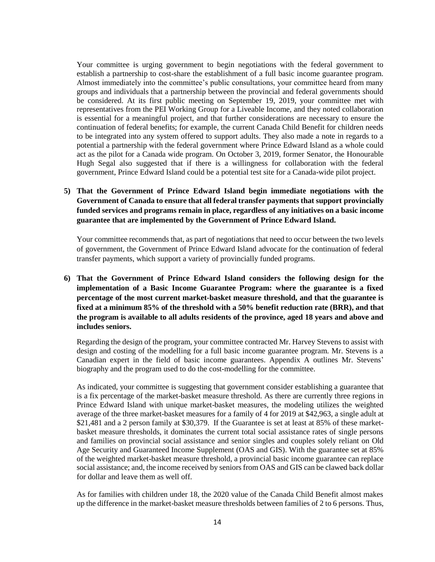Your committee is urging government to begin negotiations with the federal government to establish a partnership to cost-share the establishment of a full basic income guarantee program. Almost immediately into the committee's public consultations, your committee heard from many groups and individuals that a partnership between the provincial and federal governments should be considered. At its first public meeting on September 19, 2019, your committee met with representatives from the PEI Working Group for a Liveable Income, and they noted collaboration is essential for a meaningful project, and that further considerations are necessary to ensure the continuation of federal benefits; for example, the current Canada Child Benefit for children needs to be integrated into any system offered to support adults. They also made a note in regards to a potential a partnership with the federal government where Prince Edward Island as a whole could act as the pilot for a Canada wide program. On October 3, 2019, former Senator, the Honourable Hugh Segal also suggested that if there is a willingness for collaboration with the federal government, Prince Edward Island could be a potential test site for a Canada-wide pilot project.

# **5) That the Government of Prince Edward Island begin immediate negotiations with the Government of Canada to ensure that all federal transfer payments that support provincially funded services and programs remain in place, regardless of any initiatives on a basic income guarantee that are implemented by the Government of Prince Edward Island.**

Your committee recommends that, as part of negotiations that need to occur between the two levels of government, the Government of Prince Edward Island advocate for the continuation of federal transfer payments, which support a variety of provincially funded programs.

**6) That the Government of Prince Edward Island considers the following design for the implementation of a Basic Income Guarantee Program: where the guarantee is a fixed percentage of the most current market-basket measure threshold, and that the guarantee is fixed at a minimum 85% of the threshold with a 50% benefit reduction rate (BRR), and that the program is available to all adults residents of the province, aged 18 years and above and includes seniors.** 

Regarding the design of the program, your committee contracted Mr. Harvey Stevens to assist with design and costing of the modelling for a full basic income guarantee program. Mr. Stevens is a Canadian expert in the field of basic income guarantees. Appendix A outlines Mr. Stevens' biography and the program used to do the cost-modelling for the committee.

As indicated, your committee is suggesting that government consider establishing a guarantee that is a fix percentage of the market-basket measure threshold. As there are currently three regions in Prince Edward Island with unique market-basket measures, the modeling utilizes the weighted average of the three market-basket measures for a family of 4 for 2019 at \$42,963, a single adult at \$21,481 and a 2 person family at \$30,379. If the Guarantee is set at least at 85% of these marketbasket measure thresholds, it dominates the current total social assistance rates of single persons and families on provincial social assistance and senior singles and couples solely reliant on Old Age Security and Guaranteed Income Supplement (OAS and GIS). With the guarantee set at 85% of the weighted market-basket measure threshold, a provincial basic income guarantee can replace social assistance; and, the income received by seniors from OAS and GIS can be clawed back dollar for dollar and leave them as well off.

As for families with children under 18, the 2020 value of the Canada Child Benefit almost makes up the difference in the market-basket measure thresholds between families of 2 to 6 persons. Thus,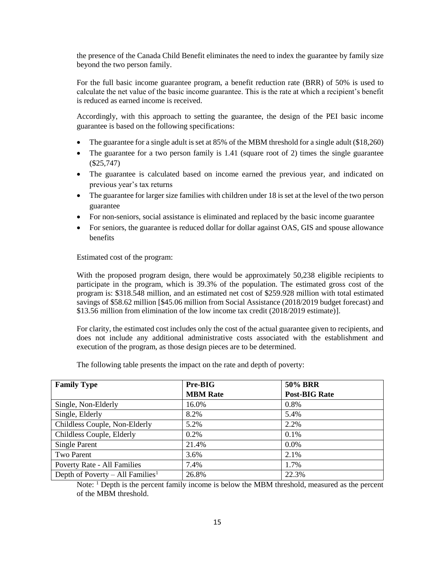the presence of the Canada Child Benefit eliminates the need to index the guarantee by family size beyond the two person family.

For the full basic income guarantee program, a benefit reduction rate (BRR) of 50% is used to calculate the net value of the basic income guarantee. This is the rate at which a recipient's benefit is reduced as earned income is received.

Accordingly, with this approach to setting the guarantee, the design of the PEI basic income guarantee is based on the following specifications:

- The guarantee for a single adult is set at 85% of the MBM threshold for a single adult (\$18,260)
- $\bullet$  The guarantee for a two person family is 1.41 (square root of 2) times the single guarantee (\$25,747)
- The guarantee is calculated based on income earned the previous year, and indicated on previous year's tax returns
- The guarantee for larger size families with children under 18 is set at the level of the two person guarantee
- For non-seniors, social assistance is eliminated and replaced by the basic income guarantee
- For seniors, the guarantee is reduced dollar for dollar against OAS, GIS and spouse allowance benefits

Estimated cost of the program:

With the proposed program design, there would be approximately 50,238 eligible recipients to participate in the program, which is 39.3% of the population. The estimated gross cost of the program is: \$318.548 million, and an estimated net cost of \$259.928 million with total estimated savings of \$58.62 million [\$45.06 million from Social Assistance (2018/2019 budget forecast) and \$13.56 million from elimination of the low income tax credit (2018/2019 estimate)].

For clarity, the estimated cost includes only the cost of the actual guarantee given to recipients, and does not include any additional administrative costs associated with the establishment and execution of the program, as those design pieces are to be determined.

The following table presents the impact on the rate and depth of poverty:

| <b>Family Type</b>                           | Pre-BIG         | <b>50% BRR</b>       |
|----------------------------------------------|-----------------|----------------------|
|                                              | <b>MBM Rate</b> | <b>Post-BIG Rate</b> |
| Single, Non-Elderly                          | 16.0%           | 0.8%                 |
| Single, Elderly                              | 8.2%            | 5.4%                 |
| Childless Couple, Non-Elderly                | 5.2%            | 2.2%                 |
| Childless Couple, Elderly                    | $0.2\%$         | 0.1%                 |
| <b>Single Parent</b>                         | 21.4%           | 0.0%                 |
| Two Parent                                   | 3.6%            | 2.1%                 |
| Poverty Rate - All Families                  | 7.4%            | 1.7%                 |
| Depth of Poverty – All Families <sup>1</sup> | 26.8%           | 22.3%                |

Note: <sup>1</sup> Depth is the percent family income is below the MBM threshold, measured as the percent of the MBM threshold.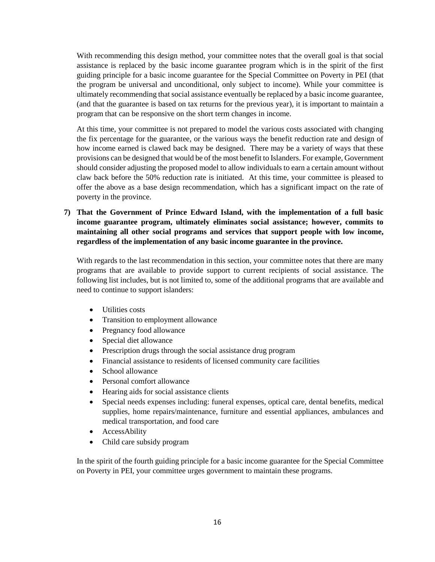With recommending this design method, your committee notes that the overall goal is that social assistance is replaced by the basic income guarantee program which is in the spirit of the first guiding principle for a basic income guarantee for the Special Committee on Poverty in PEI (that the program be universal and unconditional, only subject to income). While your committee is ultimately recommending that social assistance eventually be replaced by a basic income guarantee, (and that the guarantee is based on tax returns for the previous year), it is important to maintain a program that can be responsive on the short term changes in income.

At this time, your committee is not prepared to model the various costs associated with changing the fix percentage for the guarantee, or the various ways the benefit reduction rate and design of how income earned is clawed back may be designed. There may be a variety of ways that these provisions can be designed that would be of the most benefit to Islanders. For example, Government should consider adjusting the proposed model to allow individuals to earn a certain amount without claw back before the 50% reduction rate is initiated. At this time, your committee is pleased to offer the above as a base design recommendation, which has a significant impact on the rate of poverty in the province.

**7) That the Government of Prince Edward Island, with the implementation of a full basic income guarantee program, ultimately eliminates social assistance; however, commits to maintaining all other social programs and services that support people with low income, regardless of the implementation of any basic income guarantee in the province.** 

With regards to the last recommendation in this section, your committee notes that there are many programs that are available to provide support to current recipients of social assistance. The following list includes, but is not limited to, some of the additional programs that are available and need to continue to support islanders:

- Utilities costs
- Transition to employment allowance
- Pregnancy food allowance
- Special diet allowance
- Prescription drugs through the social assistance drug program
- Financial assistance to residents of licensed community care facilities
- School allowance
- Personal comfort allowance
- Hearing aids for social assistance clients
- Special needs expenses including: funeral expenses, optical care, dental benefits, medical supplies, home repairs/maintenance, furniture and essential appliances, ambulances and medical transportation, and food care
- AccessAbility
- Child care subsidy program

In the spirit of the fourth guiding principle for a basic income guarantee for the Special Committee on Poverty in PEI, your committee urges government to maintain these programs.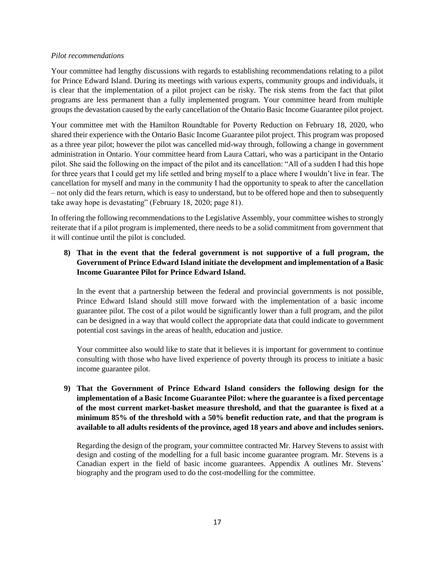#### *Pilot recommendations*

Your committee had lengthy discussions with regards to establishing recommendations relating to a pilot for Prince Edward Island. During its meetings with various experts, community groups and individuals, it is clear that the implementation of a pilot project can be risky. The risk stems from the fact that pilot programs are less permanent than a fully implemented program. Your committee heard from multiple groups the devastation caused by the early cancellation of the Ontario Basic Income Guarantee pilot project.

Your committee met with the Hamilton Roundtable for Poverty Reduction on February 18, 2020, who shared their experience with the Ontario Basic Income Guarantee pilot project. This program was proposed as a three year pilot; however the pilot was cancelled mid-way through, following a change in government administration in Ontario. Your committee heard from Laura Cattari, who was a participant in the Ontario pilot. She said the following on the impact of the pilot and its cancellation: "All of a sudden I had this hope for three years that I could get my life settled and bring myself to a place where I wouldn't live in fear. The cancellation for myself and many in the community I had the opportunity to speak to after the cancellation – not only did the fears return, which is easy to understand, but to be offered hope and then to subsequently take away hope is devastating" (February 18, 2020; page 81).

In offering the following recommendations to the Legislative Assembly, your committee wishes to strongly reiterate that if a pilot program is implemented, there needs to be a solid commitment from government that it will continue until the pilot is concluded.

# **8) That in the event that the federal government is not supportive of a full program, the Government of Prince Edward Island initiate the development and implementation of a Basic Income Guarantee Pilot for Prince Edward Island.**

In the event that a partnership between the federal and provincial governments is not possible, Prince Edward Island should still move forward with the implementation of a basic income guarantee pilot. The cost of a pilot would be significantly lower than a full program, and the pilot can be designed in a way that would collect the appropriate data that could indicate to government potential cost savings in the areas of health, education and justice.

Your committee also would like to state that it believes it is important for government to continue consulting with those who have lived experience of poverty through its process to initiate a basic income guarantee pilot.

**9) That the Government of Prince Edward Island considers the following design for the implementation of a Basic Income Guarantee Pilot: where the guarantee is a fixed percentage of the most current market-basket measure threshold, and that the guarantee is fixed at a minimum 85% of the threshold with a 50% benefit reduction rate, and that the program is available to all adults residents of the province, aged 18 years and above and includes seniors.**

Regarding the design of the program, your committee contracted Mr. Harvey Stevens to assist with design and costing of the modelling for a full basic income guarantee program. Mr. Stevens is a Canadian expert in the field of basic income guarantees. Appendix A outlines Mr. Stevens' biography and the program used to do the cost-modelling for the committee.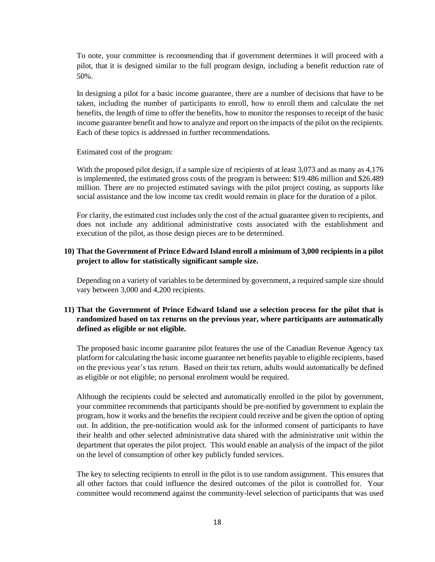To note, your committee is recommending that if government determines it will proceed with a pilot, that it is designed similar to the full program design, including a benefit reduction rate of 50%.

In designing a pilot for a basic income guarantee, there are a number of decisions that have to be taken, including the number of participants to enroll, how to enroll them and calculate the net benefits, the length of time to offer the benefits, how to monitor the responses to receipt of the basic income guarantee benefit and how to analyze and report on the impacts of the pilot on the recipients. Each of these topics is addressed in further recommendations.

Estimated cost of the program:

With the proposed pilot design, if a sample size of recipients of at least 3,073 and as many as 4,176 is implemented, the estimated gross costs of the program is between: \$19.486 million and \$26.489 million. There are no projected estimated savings with the pilot project costing, as supports like social assistance and the low income tax credit would remain in place for the duration of a pilot.

For clarity, the estimated cost includes only the cost of the actual guarantee given to recipients, and does not include any additional administrative costs associated with the establishment and execution of the pilot, as those design pieces are to be determined.

## **10) That the Government of Prince Edward Island enroll a minimum of 3,000 recipients in a pilot project to allow for statistically significant sample size.**

Depending on a variety of variables to be determined by government, a required sample size should vary between 3,000 and 4,200 recipients.

# **11) That the Government of Prince Edward Island use a selection process for the pilot that is randomized based on tax returns on the previous year, where participants are automatically defined as eligible or not eligible.**

The proposed basic income guarantee pilot features the use of the Canadian Revenue Agency tax platform for calculating the basic income guarantee net benefits payable to eligible recipients, based on the previous year's tax return. Based on their tax return, adults would automatically be defined as eligible or not eligible; no personal enrolment would be required.

Although the recipients could be selected and automatically enrolled in the pilot by government, your committee recommends that participants should be pre-notified by government to explain the program, how it works and the benefits the recipient could receive and be given the option of opting out. In addition, the pre-notification would ask for the informed consent of participants to have their health and other selected administrative data shared with the administrative unit within the department that operates the pilot project. This would enable an analysis of the impact of the pilot on the level of consumption of other key publicly funded services.

The key to selecting recipients to enroll in the pilot is to use random assignment. This ensures that all other factors that could influence the desired outcomes of the pilot is controlled for. Your committee would recommend against the community-level selection of participants that was used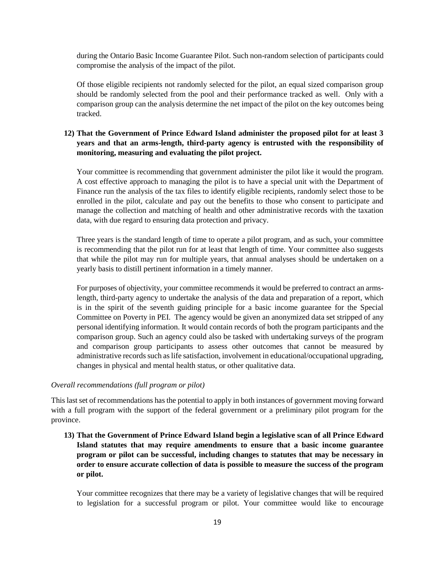during the Ontario Basic Income Guarantee Pilot. Such non-random selection of participants could compromise the analysis of the impact of the pilot.

Of those eligible recipients not randomly selected for the pilot, an equal sized comparison group should be randomly selected from the pool and their performance tracked as well. Only with a comparison group can the analysis determine the net impact of the pilot on the key outcomes being tracked.

# **12) That the Government of Prince Edward Island administer the proposed pilot for at least 3 years and that an arms-length, third-party agency is entrusted with the responsibility of monitoring, measuring and evaluating the pilot project.**

Your committee is recommending that government administer the pilot like it would the program. A cost effective approach to managing the pilot is to have a special unit with the Department of Finance run the analysis of the tax files to identify eligible recipients, randomly select those to be enrolled in the pilot, calculate and pay out the benefits to those who consent to participate and manage the collection and matching of health and other administrative records with the taxation data, with due regard to ensuring data protection and privacy.

Three years is the standard length of time to operate a pilot program, and as such, your committee is recommending that the pilot run for at least that length of time. Your committee also suggests that while the pilot may run for multiple years, that annual analyses should be undertaken on a yearly basis to distill pertinent information in a timely manner.

For purposes of objectivity, your committee recommends it would be preferred to contract an armslength, third-party agency to undertake the analysis of the data and preparation of a report, which is in the spirit of the seventh guiding principle for a basic income guarantee for the Special Committee on Poverty in PEI. The agency would be given an anonymized data set stripped of any personal identifying information. It would contain records of both the program participants and the comparison group. Such an agency could also be tasked with undertaking surveys of the program and comparison group participants to assess other outcomes that cannot be measured by administrative records such as life satisfaction, involvement in educational/occupational upgrading, changes in physical and mental health status, or other qualitative data.

#### *Overall recommendations (full program or pilot)*

This last set of recommendations has the potential to apply in both instances of government moving forward with a full program with the support of the federal government or a preliminary pilot program for the province.

**13) That the Government of Prince Edward Island begin a legislative scan of all Prince Edward Island statutes that may require amendments to ensure that a basic income guarantee program or pilot can be successful, including changes to statutes that may be necessary in order to ensure accurate collection of data is possible to measure the success of the program or pilot.**

Your committee recognizes that there may be a variety of legislative changes that will be required to legislation for a successful program or pilot. Your committee would like to encourage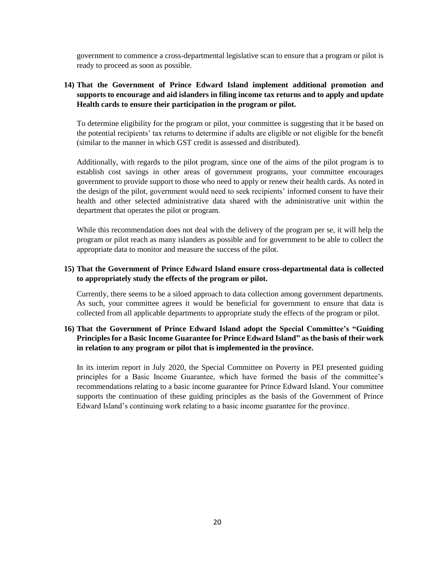government to commence a cross-departmental legislative scan to ensure that a program or pilot is ready to proceed as soon as possible.

# **14) That the Government of Prince Edward Island implement additional promotion and supports to encourage and aid islanders in filing income tax returns and to apply and update Health cards to ensure their participation in the program or pilot.**

To determine eligibility for the program or pilot, your committee is suggesting that it be based on the potential recipients' tax returns to determine if adults are eligible or not eligible for the benefit (similar to the manner in which GST credit is assessed and distributed).

Additionally, with regards to the pilot program, since one of the aims of the pilot program is to establish cost savings in other areas of government programs, your committee encourages government to provide support to those who need to apply or renew their health cards. As noted in the design of the pilot, government would need to seek recipients' informed consent to have their health and other selected administrative data shared with the administrative unit within the department that operates the pilot or program.

While this recommendation does not deal with the delivery of the program per se, it will help the program or pilot reach as many islanders as possible and for government to be able to collect the appropriate data to monitor and measure the success of the pilot.

### **15) That the Government of Prince Edward Island ensure cross-departmental data is collected to appropriately study the effects of the program or pilot.**

Currently, there seems to be a siloed approach to data collection among government departments. As such, your committee agrees it would be beneficial for government to ensure that data is collected from all applicable departments to appropriate study the effects of the program or pilot.

# **16) That the Government of Prince Edward Island adopt the Special Committee's "Guiding Principles for a Basic Income Guarantee for Prince Edward Island" as the basis of their work in relation to any program or pilot that is implemented in the province.**

In its interim report in July 2020, the Special Committee on Poverty in PEI presented guiding principles for a Basic Income Guarantee, which have formed the basis of the committee's recommendations relating to a basic income guarantee for Prince Edward Island. Your committee supports the continuation of these guiding principles as the basis of the Government of Prince Edward Island's continuing work relating to a basic income guarantee for the province.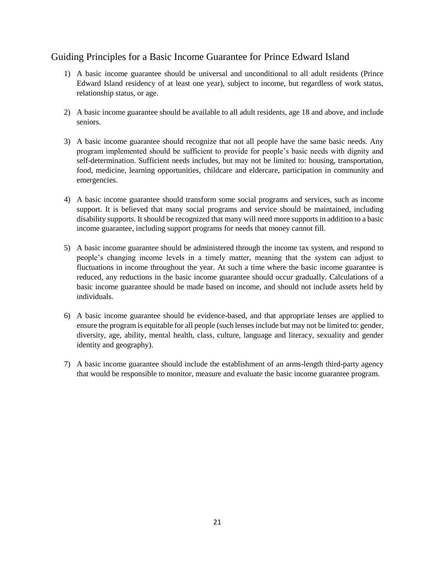# Guiding Principles for a Basic Income Guarantee for Prince Edward Island

- 1) A basic income guarantee should be universal and unconditional to all adult residents (Prince Edward Island residency of at least one year), subject to income, but regardless of work status, relationship status, or age.
- 2) A basic income guarantee should be available to all adult residents, age 18 and above, and include seniors.
- 3) A basic income guarantee should recognize that not all people have the same basic needs. Any program implemented should be sufficient to provide for people's basic needs with dignity and self-determination. Sufficient needs includes, but may not be limited to: housing, transportation, food, medicine, learning opportunities, childcare and eldercare, participation in community and emergencies.
- 4) A basic income guarantee should transform some social programs and services, such as income support. It is believed that many social programs and service should be maintained, including disability supports. It should be recognized that many will need more supports in addition to a basic income guarantee, including support programs for needs that money cannot fill.
- 5) A basic income guarantee should be administered through the income tax system, and respond to people's changing income levels in a timely matter, meaning that the system can adjust to fluctuations in income throughout the year. At such a time where the basic income guarantee is reduced, any reductions in the basic income guarantee should occur gradually. Calculations of a basic income guarantee should be made based on income, and should not include assets held by individuals.
- 6) A basic income guarantee should be evidence-based, and that appropriate lenses are applied to ensure the program is equitable for all people (such lenses include but may not be limited to: gender, diversity, age, ability, mental health, class, culture, language and literacy, sexuality and gender identity and geography).
- 7) A basic income guarantee should include the establishment of an arms-length third-party agency that would be responsible to monitor, measure and evaluate the basic income guarantee program.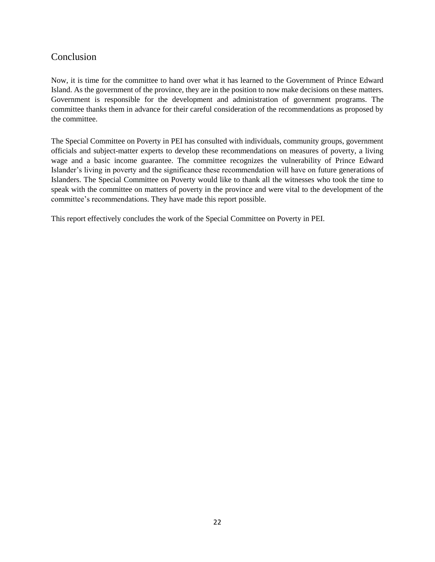# Conclusion

Now, it is time for the committee to hand over what it has learned to the Government of Prince Edward Island. As the government of the province, they are in the position to now make decisions on these matters. Government is responsible for the development and administration of government programs. The committee thanks them in advance for their careful consideration of the recommendations as proposed by the committee.

The Special Committee on Poverty in PEI has consulted with individuals, community groups, government officials and subject-matter experts to develop these recommendations on measures of poverty, a living wage and a basic income guarantee. The committee recognizes the vulnerability of Prince Edward Islander's living in poverty and the significance these recommendation will have on future generations of Islanders. The Special Committee on Poverty would like to thank all the witnesses who took the time to speak with the committee on matters of poverty in the province and were vital to the development of the committee's recommendations. They have made this report possible.

This report effectively concludes the work of the Special Committee on Poverty in PEI.